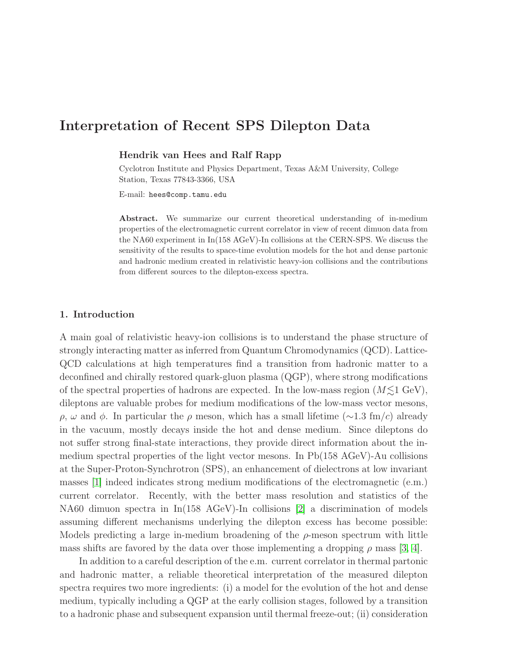# Interpretation of Recent SPS Dilepton Data

### Hendrik van Hees and Ralf Rapp

Cyclotron Institute and Physics Department, Texas A&M University, College Station, Texas 77843-3366, USA

E-mail: hees@comp.tamu.edu

Abstract. We summarize our current theoretical understanding of in-medium properties of the electromagnetic current correlator in view of recent dimuon data from the NA60 experiment in In(158 AGeV)-In collisions at the CERN-SPS. We discuss the sensitivity of the results to space-time evolution models for the hot and dense partonic and hadronic medium created in relativistic heavy-ion collisions and the contributions from different sources to the dilepton-excess spectra.

#### 1. Introduction

A main goal of relativistic heavy-ion collisions is to understand the phase structure of strongly interacting matter as inferred from Quantum Chromodynamics (QCD). Lattice-QCD calculations at high temperatures find a transition from hadronic matter to a deconfined and chirally restored quark-gluon plasma (QGP), where strong modifications of the spectral properties of hadrons are expected. In the low-mass region  $(M \leq 1 \text{ GeV})$ , dileptons are valuable probes for medium modifications of the low-mass vector mesons, ρ, ω and φ. In particular the ρ meson, which has a small lifetime (∼1.3 fm/c) already in the vacuum, mostly decays inside the hot and dense medium. Since dileptons do not suffer strong final-state interactions, they provide direct information about the inmedium spectral properties of the light vector mesons. In Pb(158 AGeV)-Au collisions at the Super-Proton-Synchrotron (SPS), an enhancement of dielectrons at low invariant masses [\[1\]](#page-3-0) indeed indicates strong medium modifications of the electromagnetic (e.m.) current correlator. Recently, with the better mass resolution and statistics of the NA60 dimuon spectra in In(158 AGeV)-In collisions [\[2\]](#page-3-1) a discrimination of models assuming different mechanisms underlying the dilepton excess has become possible: Models predicting a large in-medium broadening of the  $\rho$ -meson spectrum with little mass shifts are favored by the data over those implementing a dropping  $\rho$  mass [\[3,](#page-3-2) [4\]](#page-3-3).

In addition to a careful description of the e.m. current correlator in thermal partonic and hadronic matter, a reliable theoretical interpretation of the measured dilepton spectra requires two more ingredients: (i) a model for the evolution of the hot and dense medium, typically including a QGP at the early collision stages, followed by a transition to a hadronic phase and subsequent expansion until thermal freeze-out; (ii) consideration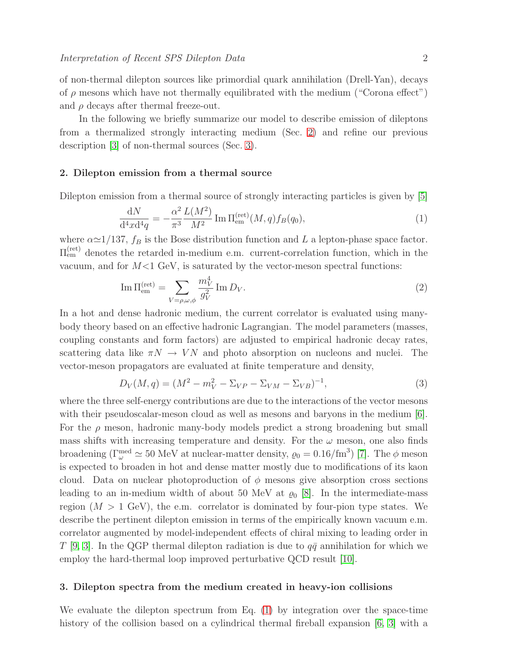of non-thermal dilepton sources like primordial quark annihilation (Drell-Yan), decays of  $\rho$  mesons which have not thermally equilibrated with the medium ("Corona effect") and  $\rho$  decays after thermal freeze-out.

In the following we briefly summarize our model to describe emission of dileptons from a thermalized strongly interacting medium (Sec. [2\)](#page-1-0) and refine our previous description [\[3\]](#page-3-2) of non-thermal sources (Sec. [3\)](#page-1-1).

#### <span id="page-1-0"></span>2. Dilepton emission from a thermal source

<span id="page-1-2"></span>Dilepton emission from a thermal source of strongly interacting particles is given by [\[5\]](#page-3-4)

$$
\frac{dN}{d^4x d^4q} = -\frac{\alpha^2}{\pi^3} \frac{L(M^2)}{M^2} \operatorname{Im} \Pi_{em}^{(\text{ret})}(M, q) f_B(q_0),\tag{1}
$$

where  $\alpha \approx 1/137$ ,  $f_B$  is the Bose distribution function and L a lepton-phase space factor.  $\Pi_{em}^{(ret)}$  denotes the retarded in-medium e.m. current-correlation function, which in the vacuum, and for  $M < 1$  GeV, is saturated by the vector-meson spectral functions:

$$
\operatorname{Im} \Pi_{\text{em}}^{(\text{ret})} = \sum_{V=\rho,\omega,\phi} \frac{m_V^4}{g_V^2} \operatorname{Im} D_V.
$$
\n(2)

In a hot and dense hadronic medium, the current correlator is evaluated using manybody theory based on an effective hadronic Lagrangian. The model parameters (masses, coupling constants and form factors) are adjusted to empirical hadronic decay rates, scattering data like  $\pi N \to VN$  and photo absorption on nucleons and nuclei. The vector-meson propagators are evaluated at finite temperature and density,

$$
D_V(M, q) = (M^2 - m_V^2 - \Sigma_{VP} - \Sigma_{VM} - \Sigma_{VB})^{-1},
$$
\n(3)

where the three self-energy contributions are due to the interactions of the vector mesons with their pseudoscalar-meson cloud as well as mesons and baryons in the medium [\[6\]](#page-3-5). For the  $\rho$  meson, hadronic many-body models predict a strong broadening but small mass shifts with increasing temperature and density. For the  $\omega$  meson, one also finds broadening ( $\Gamma^{\text{med}}_{\omega} \simeq 50$  MeV at nuclear-matter density,  $\varrho_0 = 0.16/\text{fm}^3$ ) [\[7\]](#page-3-6). The  $\phi$  meson is expected to broaden in hot and dense matter mostly due to modifications of its kaon cloud. Data on nuclear photoproduction of  $\phi$  mesons give absorption cross sections leading to an in-medium width of about 50 MeV at  $\varrho_0$  [\[8\]](#page-3-7). In the intermediate-mass region  $(M > 1 \text{ GeV})$ , the e.m. correlator is dominated by four-pion type states. We describe the pertinent dilepton emission in terms of the empirically known vacuum e.m. correlator augmented by model-independent effects of chiral mixing to leading order in T [\[9,](#page-3-8) [3\]](#page-3-2). In the QGP thermal dilepton radiation is due to  $q\bar{q}$  annihilation for which we employ the hard-thermal loop improved perturbative QCD result [\[10\]](#page-3-9).

#### <span id="page-1-1"></span>3. Dilepton spectra from the medium created in heavy-ion collisions

We evaluate the dilepton spectrum from Eq. [\(1\)](#page-1-2) by integration over the space-time history of the collision based on a cylindrical thermal fireball expansion [\[6,](#page-3-5) [3\]](#page-3-2) with a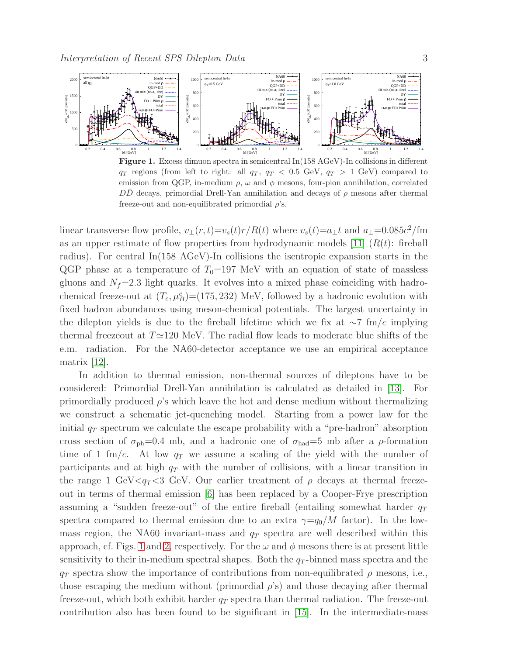

<span id="page-2-0"></span>Figure 1. Excess dimuon spectra in semicentral In(158 AGeV)-In collisions in different  $q_T$  regions (from left to right: all  $q_T$ ,  $q_T < 0.5$  GeV,  $q_T > 1$  GeV) compared to emission from QGP, in-medium  $\rho$ ,  $\omega$  and  $\phi$  mesons, four-pion annihilation, correlated DD decays, primordial Drell-Yan annihilation and decays of  $\rho$  mesons after thermal freeze-out and non-equilibrated primordial  $\rho$ 's.

linear transverse flow profile,  $v_{\perp}(r,t)=v_s(t)r/R(t)$  where  $v_s(t)=a_{\perp}t$  and  $a_{\perp}=0.085c^2/\text{fm}$ as an upper estimate of flow properties from hydrodynamic models [\[11\]](#page-3-10)  $(R(t))$ : fireball radius). For central In(158 AGeV)-In collisions the isentropic expansion starts in the QGP phase at a temperature of  $T_0=197$  MeV with an equation of state of massless gluons and  $N_f$ =2.3 light quarks. It evolves into a mixed phase coinciding with hadrochemical freeze-out at  $(T_c, \mu_B^c) = (175, 232)$  MeV, followed by a hadronic evolution with fixed hadron abundances using meson-chemical potentials. The largest uncertainty in the dilepton yields is due to the fireball lifetime which we fix at  $\sim$ 7 fm/c implying thermal freezeout at T≃120 MeV. The radial flow leads to moderate blue shifts of the e.m. radiation. For the NA60-detector acceptance we use an empirical acceptance matrix [\[12\]](#page-3-11).

In addition to thermal emission, non-thermal sources of dileptons have to be considered: Primordial Drell-Yan annihilation is calculated as detailed in [\[13\]](#page-3-12). For primordially produced  $\rho$ 's which leave the hot and dense medium without thermalizing we construct a schematic jet-quenching model. Starting from a power law for the initial  $q_T$  spectrum we calculate the escape probability with a "pre-hadron" absorption cross section of  $\sigma_{\rm ph}$ =0.4 mb, and a hadronic one of  $\sigma_{\rm had}$ =5 mb after a  $\rho$ -formation time of 1 fm/c. At low  $q_T$  we assume a scaling of the yield with the number of participants and at high  $q_T$  with the number of collisions, with a linear transition in the range 1 GeV $\langle q_T \rangle$  GeV. Our earlier treatment of  $\rho$  decays at thermal freezeout in terms of thermal emission [\[6\]](#page-3-5) has been replaced by a Cooper-Frye prescription assuming a "sudden freeze-out" of the entire fireball (entailing somewhat harder  $q_T$ spectra compared to thermal emission due to an extra  $\gamma = q_0/M$  factor). In the lowmass region, the NA60 invariant-mass and  $q_T$  spectra are well described within this approach, cf. Figs. [1](#page-2-0) and [2,](#page-3-13) respectively. For the  $\omega$  and  $\phi$  mesons there is at present little sensitivity to their in-medium spectral shapes. Both the  $q_T$ -binned mass spectra and the  $q_T$  spectra show the importance of contributions from non-equilibrated  $\rho$  mesons, i.e., those escaping the medium without (primordial  $\rho$ 's) and those decaying after thermal freeze-out, which both exhibit harder  $q_T$  spectra than thermal radiation. The freeze-out contribution also has been found to be significant in [\[15\]](#page-4-0). In the intermediate-mass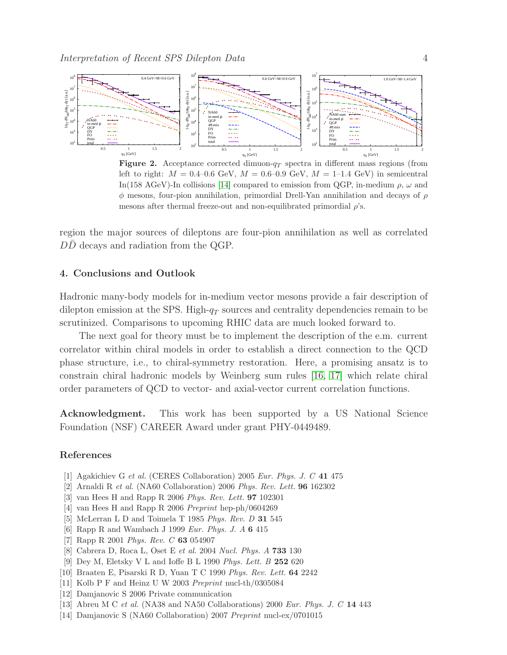

<span id="page-3-13"></span>Figure 2. Acceptance corrected dimuon- $q_T$  spectra in different mass regions (from left to right:  $M = 0.4{\text{-}}0.6 \text{ GeV}, M = 0.6{\text{-}}0.9 \text{ GeV}, M = 1{\text{-}}1.4 \text{ GeV}$  in semicentral In(158 AGeV)-In collisions [\[14\]](#page-3-14) compared to emission from QGP, in-medium  $\rho$ ,  $\omega$  and  $\phi$  mesons, four-pion annihilation, primordial Drell-Yan annihilation and decays of  $\rho$ mesons after thermal freeze-out and non-equilibrated primordial  $\rho$ 's.

region the major sources of dileptons are four-pion annihilation as well as correlated  $D\overline{D}$  decays and radiation from the QGP.

# 4. Conclusions and Outlook

Hadronic many-body models for in-medium vector mesons provide a fair description of dilepton emission at the SPS. High- $q_T$  sources and centrality dependencies remain to be scrutinized. Comparisons to upcoming RHIC data are much looked forward to.

The next goal for theory must be to implement the description of the e.m. current correlator within chiral models in order to establish a direct connection to the QCD phase structure, i.e., to chiral-symmetry restoration. Here, a promising ansatz is to constrain chiral hadronic models by Weinberg sum rules [\[16,](#page-4-1) [17\]](#page-4-2) which relate chiral order parameters of QCD to vector- and axial-vector current correlation functions.

Acknowledgment. This work has been supported by a US National Science Foundation (NSF) CAREER Award under grant PHY-0449489.

# <span id="page-3-0"></span>References

- <span id="page-3-1"></span>[1] Agakichiev G et al. (CERES Collaboration) 2005 Eur. Phys. J. C 41 475
- <span id="page-3-2"></span>[2] Arnaldi R et al. (NA60 Collaboration) 2006 Phys. Rev. Lett. 96 162302
- <span id="page-3-3"></span>[3] van Hees H and Rapp R 2006 Phys. Rev. Lett. 97 102301
- <span id="page-3-4"></span>[4] van Hees H and Rapp R 2006 Preprint hep-ph/0604269
- <span id="page-3-5"></span>[5] McLerran L D and Toimela T 1985 Phys. Rev. D 31 545
- [6] Rapp R and Wambach J 1999 *Eur. Phys. J. A* **6** 415
- <span id="page-3-7"></span><span id="page-3-6"></span>[7] Rapp R 2001 Phys. Rev. C 63 054907
- [8] Cabrera D, Roca L, Oset E et al. 2004 Nucl. Phys. A 733 130
- [9] Dey M, Eletsky V L and Ioffe B L 1990 Phys. Lett. B 252 620
- <span id="page-3-10"></span><span id="page-3-9"></span><span id="page-3-8"></span>[10] Braaten E, Pisarski R D, Yuan T C 1990 Phys. Rev. Lett. 64 2242
- <span id="page-3-11"></span>[11] Kolb P F and Heinz U W 2003 Preprint nucl-th/0305084
- <span id="page-3-12"></span>[12] Damjanovic S 2006 Private communication
- <span id="page-3-14"></span>[13] Abreu M C et al. (NA38 and NA50 Collaborations) 2000 Eur. Phys. J. C 14 443
- [14] Damjanovic S (NA60 Collaboration) 2007 Preprint nucl-ex/0701015